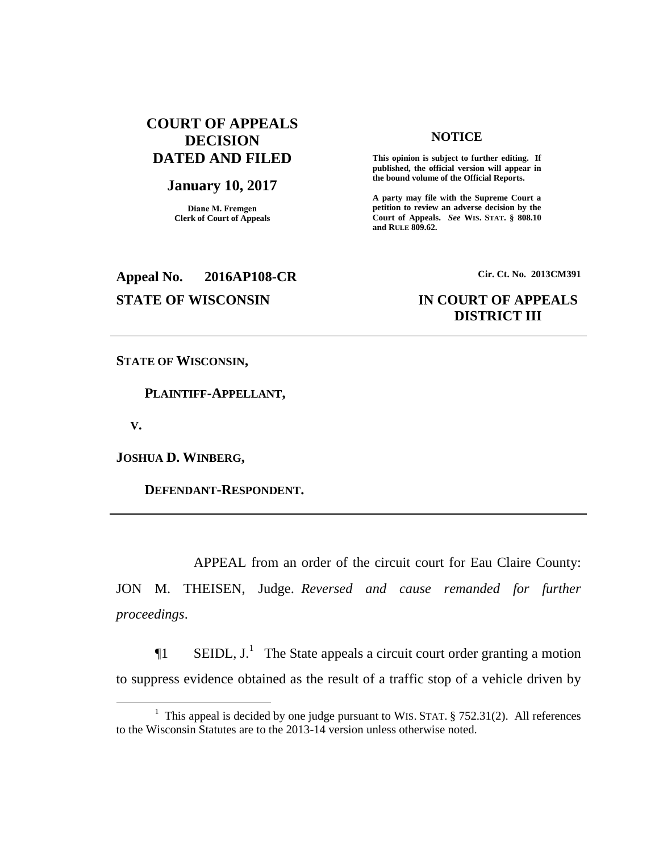# **COURT OF APPEALS DECISION DATED AND FILED**

### **January 10, 2017**

**Diane M. Fremgen Clerk of Court of Appeals**

## **NOTICE**

**This opinion is subject to further editing. If published, the official version will appear in the bound volume of the Official Reports.** 

**A party may file with the Supreme Court a petition to review an adverse decision by the Court of Appeals.** *See* **WIS. STAT. § 808.10 and RULE 809.62.** 

# **Appeal No. 2016AP108-CR Cir. Ct. No. 2013CM391**

## **STATE OF WISCONSIN IN COURT OF APPEALS DISTRICT III**

**STATE OF WISCONSIN,**

 **PLAINTIFF-APPELLANT,**

 **V.**

 $\overline{a}$ 

**JOSHUA D. WINBERG,**

 **DEFENDANT-RESPONDENT.**

APPEAL from an order of the circuit court for Eau Claire County: JON M. THEISEN, Judge. Reversed and cause remanded for further *proceedings*.

 $\P1$  SEIDL, J.<sup>1</sup> The State appeals a circuit court order granting a motion to suppress evidence obtained as the result of a traffic stop of a vehicle driven by

<sup>&</sup>lt;sup>1</sup> This appeal is decided by one judge pursuant to WIS. STAT.  $\S$  752.31(2). All references to the Wisconsin Statutes are to the 2013-14 version unless otherwise noted.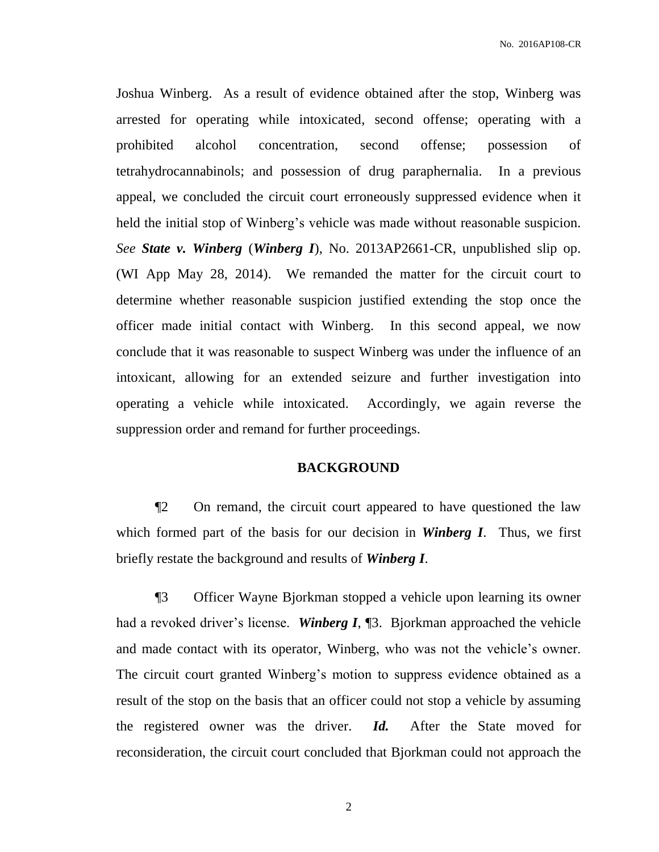Joshua Winberg. As a result of evidence obtained after the stop, Winberg was arrested for operating while intoxicated, second offense; operating with a prohibited alcohol concentration, second offense; possession of tetrahydrocannabinols; and possession of drug paraphernalia. In a previous appeal, we concluded the circuit court erroneously suppressed evidence when it held the initial stop of Winberg's vehicle was made without reasonable suspicion. *See State v. Winberg* (*Winberg I*), No. 2013AP2661-CR, unpublished slip op. (WI App May 28, 2014). We remanded the matter for the circuit court to determine whether reasonable suspicion justified extending the stop once the officer made initial contact with Winberg. In this second appeal, we now conclude that it was reasonable to suspect Winberg was under the influence of an intoxicant, allowing for an extended seizure and further investigation into operating a vehicle while intoxicated. Accordingly, we again reverse the suppression order and remand for further proceedings.

## **BACKGROUND**

¶2 On remand, the circuit court appeared to have questioned the law which formed part of the basis for our decision in *Winberg I*. Thus, we first briefly restate the background and results of *Winberg I*.

¶3 Officer Wayne Bjorkman stopped a vehicle upon learning its owner had a revoked driver's license. *Winberg I*, ¶3. Bjorkman approached the vehicle and made contact with its operator, Winberg, who was not the vehicle's owner. The circuit court granted Winberg's motion to suppress evidence obtained as a result of the stop on the basis that an officer could not stop a vehicle by assuming the registered owner was the driver. *Id.* After the State moved for reconsideration, the circuit court concluded that Bjorkman could not approach the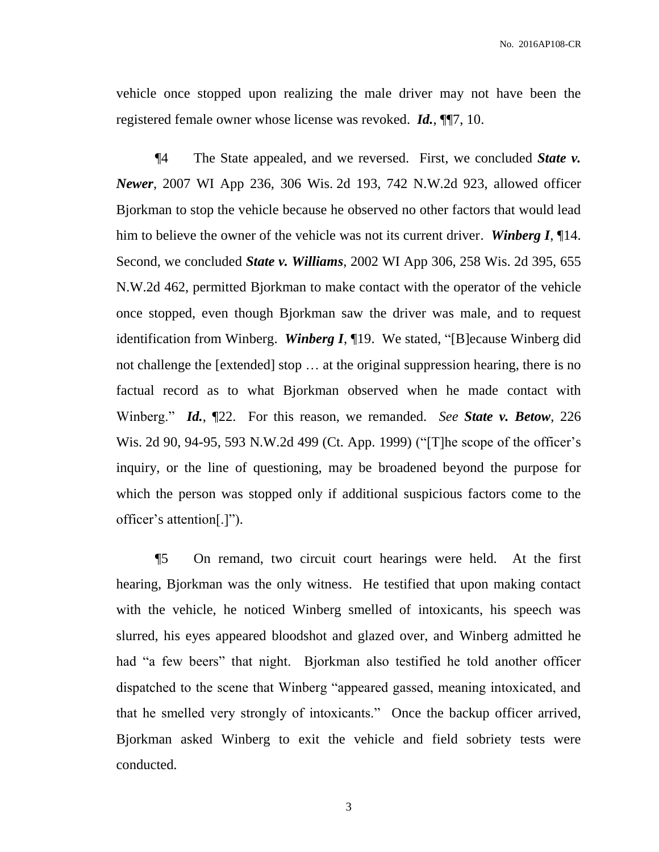vehicle once stopped upon realizing the male driver may not have been the registered female owner whose license was revoked. *Id.*, ¶¶7, 10.

¶4 The State appealed, and we reversed. First, we concluded *State v. Newer*, 2007 WI App 236, 306 Wis. 2d 193, 742 N.W.2d 923, allowed officer Bjorkman to stop the vehicle because he observed no other factors that would lead him to believe the owner of the vehicle was not its current driver. *Winberg I*, ¶14. Second, we concluded *State v. Williams*, 2002 WI App 306, 258 Wis. 2d 395, 655 N.W.2d 462, permitted Bjorkman to make contact with the operator of the vehicle once stopped, even though Bjorkman saw the driver was male, and to request identification from Winberg. *Winberg I*, ¶19. We stated, "[B]ecause Winberg did not challenge the [extended] stop … at the original suppression hearing, there is no factual record as to what Bjorkman observed when he made contact with Winberg." *Id.*, ¶22. For this reason, we remanded. *See State v. Betow*, 226 Wis. 2d 90, 94-95, 593 N.W.2d 499 (Ct. App. 1999) ("[T]he scope of the officer's inquiry, or the line of questioning, may be broadened beyond the purpose for which the person was stopped only if additional suspicious factors come to the officer's attention[.]").

¶5 On remand, two circuit court hearings were held. At the first hearing, Bjorkman was the only witness. He testified that upon making contact with the vehicle, he noticed Winberg smelled of intoxicants, his speech was slurred, his eyes appeared bloodshot and glazed over, and Winberg admitted he had "a few beers" that night. Bjorkman also testified he told another officer dispatched to the scene that Winberg "appeared gassed, meaning intoxicated, and that he smelled very strongly of intoxicants." Once the backup officer arrived, Bjorkman asked Winberg to exit the vehicle and field sobriety tests were conducted.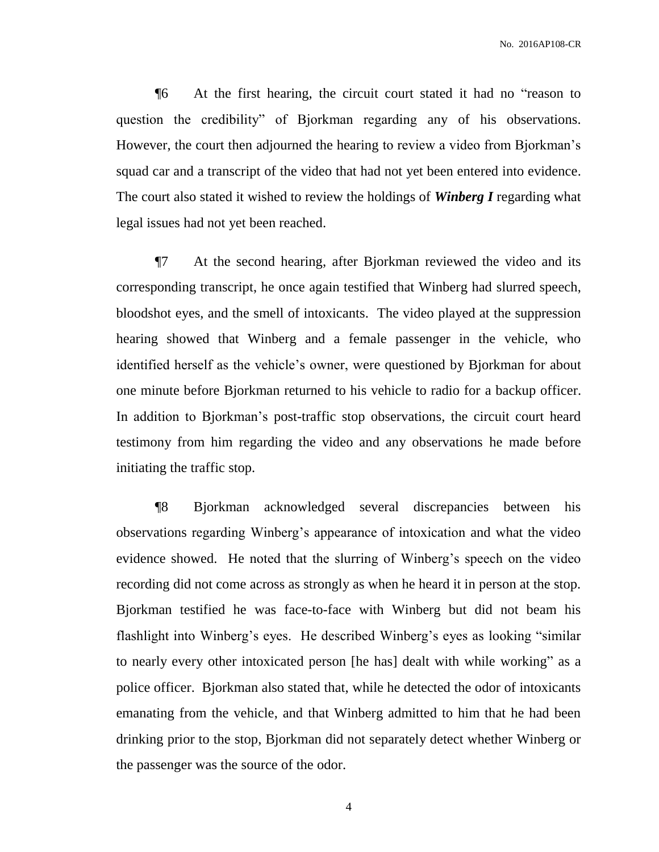¶6 At the first hearing, the circuit court stated it had no "reason to question the credibility" of Bjorkman regarding any of his observations. However, the court then adjourned the hearing to review a video from Bjorkman's squad car and a transcript of the video that had not yet been entered into evidence. The court also stated it wished to review the holdings of *Winberg I* regarding what legal issues had not yet been reached.

¶7 At the second hearing, after Bjorkman reviewed the video and its corresponding transcript, he once again testified that Winberg had slurred speech, bloodshot eyes, and the smell of intoxicants. The video played at the suppression hearing showed that Winberg and a female passenger in the vehicle, who identified herself as the vehicle's owner, were questioned by Bjorkman for about one minute before Bjorkman returned to his vehicle to radio for a backup officer. In addition to Bjorkman's post-traffic stop observations, the circuit court heard testimony from him regarding the video and any observations he made before initiating the traffic stop.

¶8 Bjorkman acknowledged several discrepancies between his observations regarding Winberg's appearance of intoxication and what the video evidence showed. He noted that the slurring of Winberg's speech on the video recording did not come across as strongly as when he heard it in person at the stop. Bjorkman testified he was face-to-face with Winberg but did not beam his flashlight into Winberg's eyes. He described Winberg's eyes as looking "similar to nearly every other intoxicated person [he has] dealt with while working" as a police officer. Bjorkman also stated that, while he detected the odor of intoxicants emanating from the vehicle, and that Winberg admitted to him that he had been drinking prior to the stop, Bjorkman did not separately detect whether Winberg or the passenger was the source of the odor.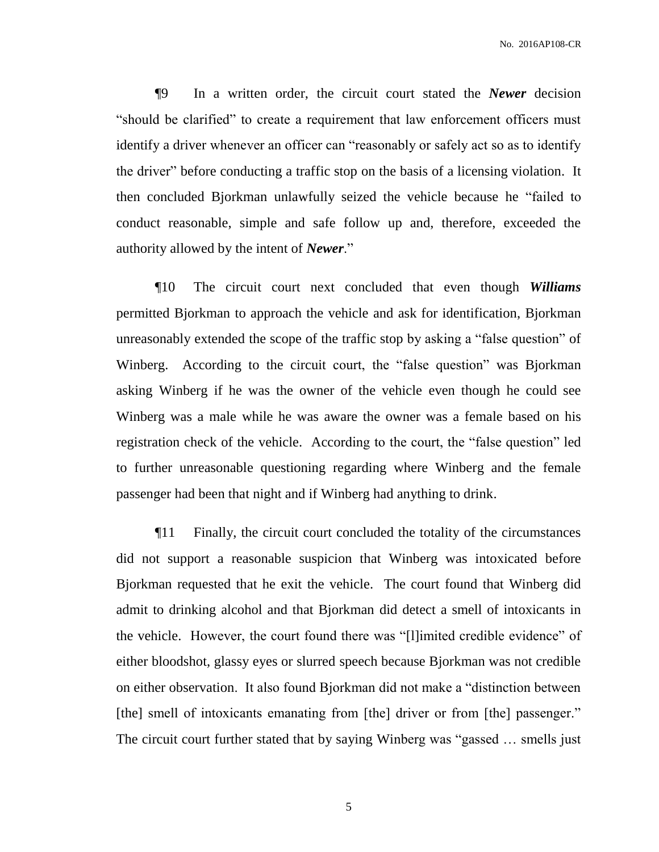¶9 In a written order, the circuit court stated the *Newer* decision "should be clarified" to create a requirement that law enforcement officers must identify a driver whenever an officer can "reasonably or safely act so as to identify the driver" before conducting a traffic stop on the basis of a licensing violation. It then concluded Bjorkman unlawfully seized the vehicle because he "failed to conduct reasonable, simple and safe follow up and, therefore, exceeded the authority allowed by the intent of *Newer*."

¶10 The circuit court next concluded that even though *Williams* permitted Bjorkman to approach the vehicle and ask for identification, Bjorkman unreasonably extended the scope of the traffic stop by asking a "false question" of Winberg. According to the circuit court, the "false question" was Bjorkman asking Winberg if he was the owner of the vehicle even though he could see Winberg was a male while he was aware the owner was a female based on his registration check of the vehicle. According to the court, the "false question" led to further unreasonable questioning regarding where Winberg and the female passenger had been that night and if Winberg had anything to drink.

¶11 Finally, the circuit court concluded the totality of the circumstances did not support a reasonable suspicion that Winberg was intoxicated before Bjorkman requested that he exit the vehicle. The court found that Winberg did admit to drinking alcohol and that Bjorkman did detect a smell of intoxicants in the vehicle. However, the court found there was "[l]imited credible evidence" of either bloodshot, glassy eyes or slurred speech because Bjorkman was not credible on either observation. It also found Bjorkman did not make a "distinction between [the] smell of intoxicants emanating from [the] driver or from [the] passenger." The circuit court further stated that by saying Winberg was "gassed … smells just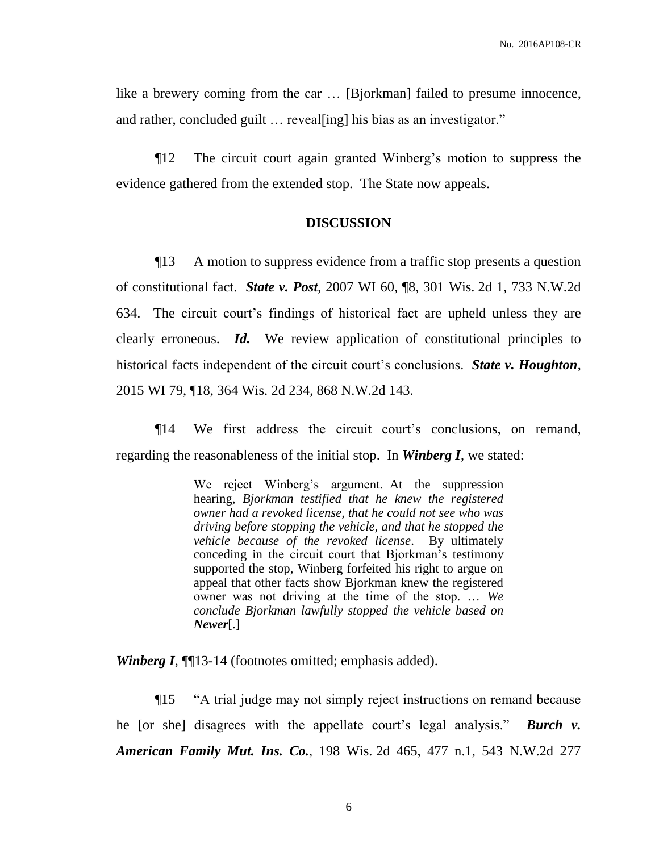like a brewery coming from the car … [Bjorkman] failed to presume innocence, and rather, concluded guilt ... reveal[ing] his bias as an investigator."

¶12 The circuit court again granted Winberg's motion to suppress the evidence gathered from the extended stop. The State now appeals.

## **DISCUSSION**

¶13 A motion to suppress evidence from a traffic stop presents a question of constitutional fact. *State v. Post*, 2007 WI 60, ¶8, 301 Wis. 2d 1, 733 N.W.2d 634. The circuit court's findings of historical fact are upheld unless they are clearly erroneous. *Id.* We review application of constitutional principles to historical facts independent of the circuit court's conclusions. *State v. Houghton*, 2015 WI 79, ¶18, 364 Wis. 2d 234, 868 N.W.2d 143.

¶14 We first address the circuit court's conclusions, on remand, regarding the reasonableness of the initial stop. In *Winberg I*, we stated:

> We reject Winberg's argument. At the suppression hearing, *Bjorkman testified that he knew the registered owner had a revoked license, that he could not see who was driving before stopping the vehicle, and that he stopped the vehicle because of the revoked license*. By ultimately conceding in the circuit court that Bjorkman's testimony supported the stop, Winberg forfeited his right to argue on appeal that other facts show Bjorkman knew the registered owner was not driving at the time of the stop. … *We conclude Bjorkman lawfully stopped the vehicle based on Newer*[.]

*Winberg I*, **[113-14** (footnotes omitted; emphasis added).

¶15 "A trial judge may not simply reject instructions on remand because he [or she] disagrees with the appellate court's legal analysis." *Burch v. American Family Mut. Ins. Co.*, 198 Wis. 2d 465, 477 n.1, 543 N.W.2d 277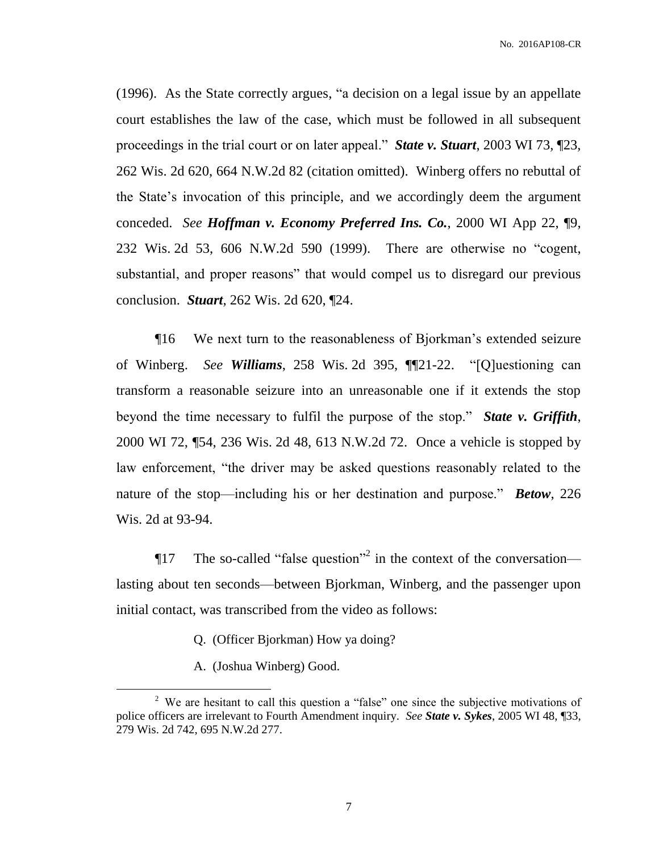(1996). As the State correctly argues, "a decision on a legal issue by an appellate court establishes the law of the case, which must be followed in all subsequent proceedings in the trial court or on later appeal." *State v. Stuart*, 2003 WI 73, ¶23, 262 Wis. 2d 620, 664 N.W.2d 82 (citation omitted). Winberg offers no rebuttal of the State's invocation of this principle, and we accordingly deem the argument conceded. *See Hoffman v. Economy Preferred Ins. Co.*, 2000 WI App 22, ¶9, 232 Wis. 2d 53, 606 N.W.2d 590 (1999). There are otherwise no "cogent, substantial, and proper reasons" that would compel us to disregard our previous conclusion. *Stuart*, 262 Wis. 2d 620, ¶24.

¶16 We next turn to the reasonableness of Bjorkman's extended seizure of Winberg. *See Williams*, 258 Wis. 2d 395, ¶¶21-22. "[Q]uestioning can transform a reasonable seizure into an unreasonable one if it extends the stop beyond the time necessary to fulfil the purpose of the stop." *State v. Griffith*, 2000 WI 72, ¶54, 236 Wis. 2d 48, 613 N.W.2d 72. Once a vehicle is stopped by law enforcement, "the driver may be asked questions reasonably related to the nature of the stop—including his or her destination and purpose." *Betow*, 226 Wis. 2d at 93-94.

**The so-called "false question"** in the context of the conversation lasting about ten seconds—between Bjorkman, Winberg, and the passenger upon initial contact, was transcribed from the video as follows:

- Q. (Officer Bjorkman) How ya doing?
- A. (Joshua Winberg) Good.

 $\overline{a}$ 

<sup>&</sup>lt;sup>2</sup> We are hesitant to call this question a "false" one since the subjective motivations of police officers are irrelevant to Fourth Amendment inquiry. *See State v. Sykes*, 2005 WI 48, ¶33, 279 Wis. 2d 742, 695 N.W.2d 277.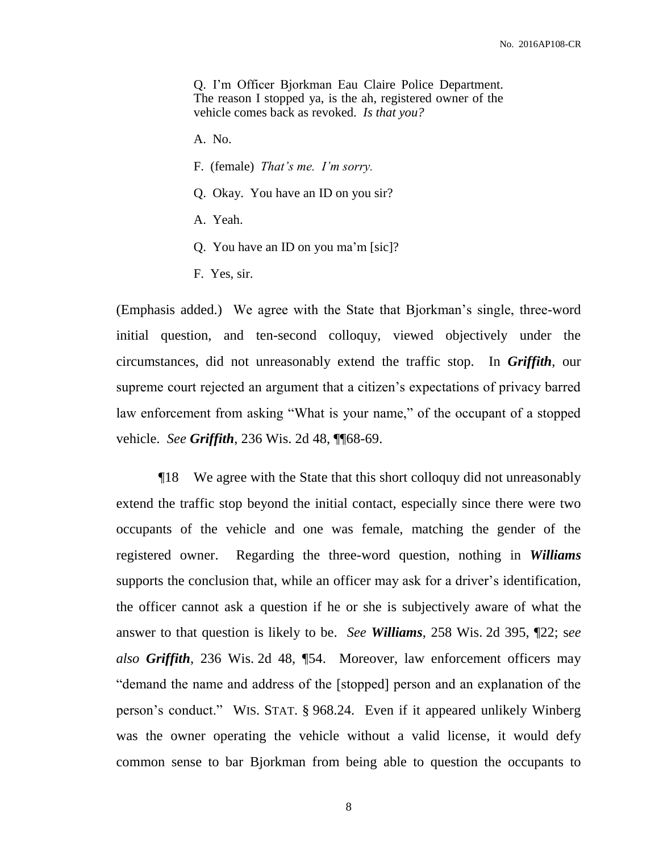Q. I'm Officer Bjorkman Eau Claire Police Department. The reason I stopped ya, is the ah, registered owner of the vehicle comes back as revoked. *Is that you?*

- A. No.
- F. (female) *That's me. I'm sorry.*
- Q. Okay. You have an ID on you sir?
- A. Yeah.
- Q. You have an ID on you ma'm [sic]?
- F. Yes, sir.

(Emphasis added.) We agree with the State that Bjorkman's single, three-word initial question, and ten-second colloquy, viewed objectively under the circumstances, did not unreasonably extend the traffic stop. In *Griffith*, our supreme court rejected an argument that a citizen's expectations of privacy barred law enforcement from asking "What is your name," of the occupant of a stopped vehicle. *See Griffith*, 236 Wis. 2d 48, ¶¶68-69.

¶18 We agree with the State that this short colloquy did not unreasonably extend the traffic stop beyond the initial contact, especially since there were two occupants of the vehicle and one was female, matching the gender of the registered owner. Regarding the three-word question, nothing in *Williams* supports the conclusion that, while an officer may ask for a driver's identification, the officer cannot ask a question if he or she is subjectively aware of what the answer to that question is likely to be. *See Williams*, 258 Wis. 2d 395, ¶22; s*ee also Griffith*, 236 Wis. 2d 48, ¶54. Moreover, law enforcement officers may "demand the name and address of the [stopped] person and an explanation of the person's conduct." WIS. STAT. § 968.24. Even if it appeared unlikely Winberg was the owner operating the vehicle without a valid license, it would defy common sense to bar Bjorkman from being able to question the occupants to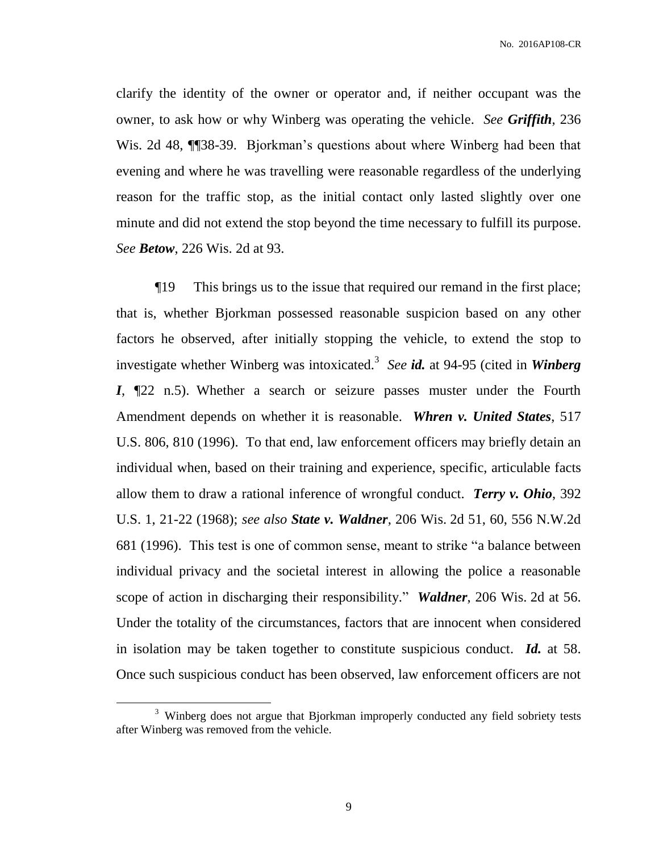clarify the identity of the owner or operator and, if neither occupant was the owner, to ask how or why Winberg was operating the vehicle. *See Griffith*, 236 Wis. 2d 48, **[1]** 38-39. Bjorkman's questions about where Winberg had been that evening and where he was travelling were reasonable regardless of the underlying reason for the traffic stop, as the initial contact only lasted slightly over one minute and did not extend the stop beyond the time necessary to fulfill its purpose. *See Betow*, 226 Wis. 2d at 93.

¶19 This brings us to the issue that required our remand in the first place; that is, whether Bjorkman possessed reasonable suspicion based on any other factors he observed, after initially stopping the vehicle, to extend the stop to investigate whether Winberg was intoxicated.<sup>3</sup> See id. at 94-95 (cited in *Winberg I*, ¶22 n.5). Whether a search or seizure passes muster under the Fourth Amendment depends on whether it is reasonable. *Whren v. United States*, 517 U.S. 806, 810 (1996). To that end, law enforcement officers may briefly detain an individual when, based on their training and experience, specific, articulable facts allow them to draw a rational inference of wrongful conduct. *Terry v. Ohio*, 392 U.S. 1, 21-22 (1968); *see also State v. Waldner*, 206 Wis. 2d 51, 60, 556 N.W.2d 681 (1996). This test is one of common sense, meant to strike "a balance between individual privacy and the societal interest in allowing the police a reasonable scope of action in discharging their responsibility." *Waldner*, 206 Wis. 2d at 56. Under the totality of the circumstances, factors that are innocent when considered in isolation may be taken together to constitute suspicious conduct. *Id.* at 58. Once such suspicious conduct has been observed, law enforcement officers are not

 $\overline{a}$ 

<sup>&</sup>lt;sup>3</sup> Winberg does not argue that Bjorkman improperly conducted any field sobriety tests after Winberg was removed from the vehicle.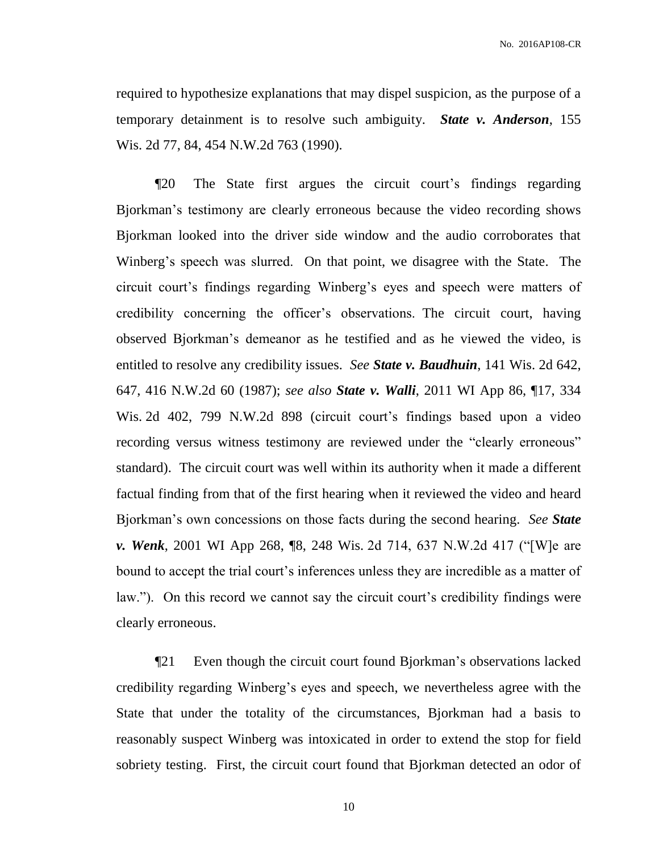required to hypothesize explanations that may dispel suspicion, as the purpose of a temporary detainment is to resolve such ambiguity. *State v. Anderson*, 155 Wis. 2d 77, 84, 454 N.W.2d 763 (1990).

¶20 The State first argues the circuit court's findings regarding Bjorkman's testimony are clearly erroneous because the video recording shows Bjorkman looked into the driver side window and the audio corroborates that Winberg's speech was slurred. On that point, we disagree with the State. The circuit court's findings regarding Winberg's eyes and speech were matters of credibility concerning the officer's observations. The circuit court, having observed Bjorkman's demeanor as he testified and as he viewed the video, is entitled to resolve any credibility issues. *See State v. Baudhuin*, 141 Wis. 2d 642, 647, 416 N.W.2d 60 (1987); *see also State v. Walli*, 2011 WI App 86, ¶17, 334 Wis. 2d 402, 799 N.W.2d 898 (circuit court's findings based upon a video recording versus witness testimony are reviewed under the "clearly erroneous" standard). The circuit court was well within its authority when it made a different factual finding from that of the first hearing when it reviewed the video and heard Bjorkman's own concessions on those facts during the second hearing. *See State v. Wenk*, 2001 WI App 268, ¶8, 248 Wis. 2d 714, 637 N.W.2d 417 ("[W]e are bound to accept the trial court's inferences unless they are incredible as a matter of law."). On this record we cannot say the circuit court's credibility findings were clearly erroneous.

¶21 Even though the circuit court found Bjorkman's observations lacked credibility regarding Winberg's eyes and speech, we nevertheless agree with the State that under the totality of the circumstances, Bjorkman had a basis to reasonably suspect Winberg was intoxicated in order to extend the stop for field sobriety testing. First, the circuit court found that Bjorkman detected an odor of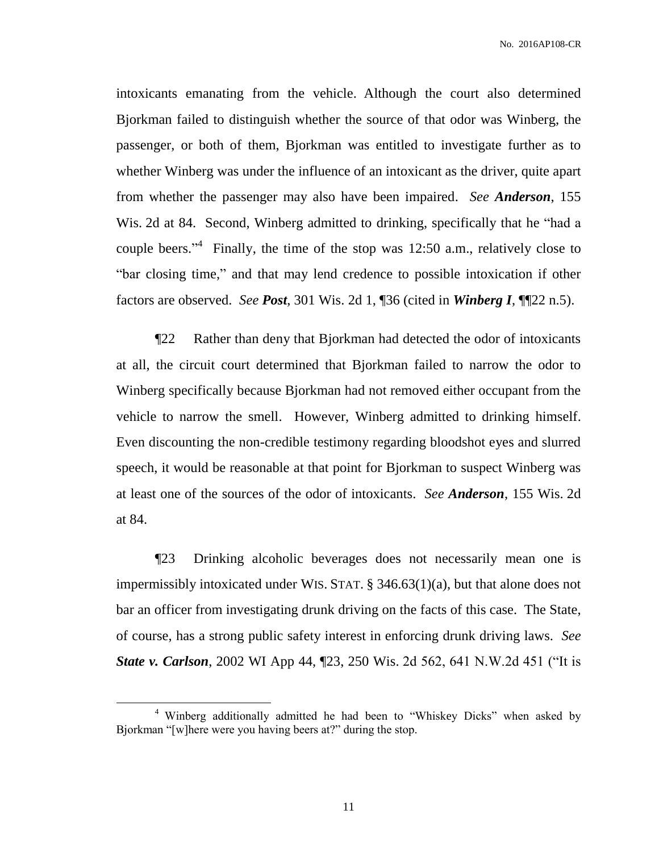intoxicants emanating from the vehicle. Although the court also determined Bjorkman failed to distinguish whether the source of that odor was Winberg, the passenger, or both of them, Bjorkman was entitled to investigate further as to whether Winberg was under the influence of an intoxicant as the driver, quite apart from whether the passenger may also have been impaired. *See Anderson*, 155 Wis. 2d at 84. Second, Winberg admitted to drinking, specifically that he "had a couple beers."<sup>4</sup> Finally, the time of the stop was 12:50 a.m., relatively close to "bar closing time," and that may lend credence to possible intoxication if other factors are observed. *See Post*, 301 Wis. 2d 1, ¶36 (cited in *Winberg I*, ¶¶22 n.5).

¶22 Rather than deny that Bjorkman had detected the odor of intoxicants at all, the circuit court determined that Bjorkman failed to narrow the odor to Winberg specifically because Bjorkman had not removed either occupant from the vehicle to narrow the smell. However, Winberg admitted to drinking himself. Even discounting the non-credible testimony regarding bloodshot eyes and slurred speech, it would be reasonable at that point for Bjorkman to suspect Winberg was at least one of the sources of the odor of intoxicants. *See Anderson*, 155 Wis. 2d at 84.

¶23 Drinking alcoholic beverages does not necessarily mean one is impermissibly intoxicated under WIS. STAT. § 346.63(1)(a), but that alone does not bar an officer from investigating drunk driving on the facts of this case. The State, of course, has a strong public safety interest in enforcing drunk driving laws. *See State v. Carlson*, 2002 WI App 44, ¶23, 250 Wis. 2d 562, 641 N.W.2d 451 ("It is

 $\overline{a}$ 

<sup>&</sup>lt;sup>4</sup> Winberg additionally admitted he had been to "Whiskey Dicks" when asked by Bjorkman "[w]here were you having beers at?" during the stop.